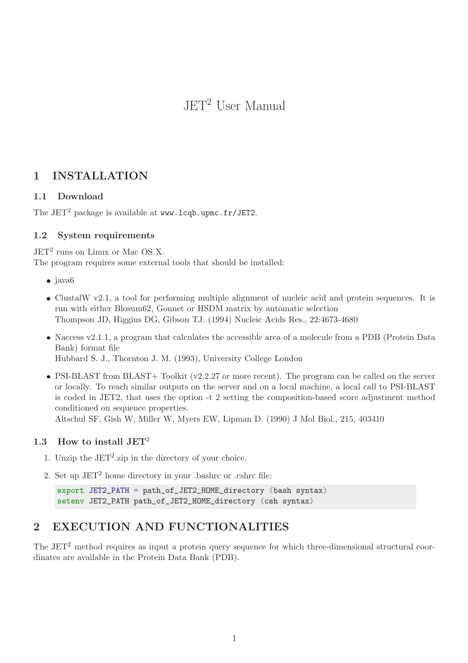JET<sup>2</sup> User Manual

# 1 INSTALLATION

# 1.1 Download

The  $JET^2$  package is available at www.lcqb.upmc.fr/JET2.

# 1.2 System requirements

 $JET<sup>2</sup>$  runs on Linux or Mac OS X.

The program requires some external tools that should be installed:

- $\bullet$  java $6$
- ClustalW v2.1, a tool for performing multiple alignment of nucleic acid and protein sequences. It is run with either Blosum62, Gonnet or HSDM matrix by automatic selection Thompson JD, Higgins DG, Gibson TJ. (1994) Nucleic Acids Res., 22:4673-4680
- Naccess v2.1.1, a program that calculates the accessible area of a molecule from a PDB (Protein Data Bank) format file Hubbard S. J., Thornton J. M. (1993), University College London

• PSI-BLAST from BLAST+ Toolkit (v2.2.27 or more recent). The program can be called on the server or locally. To reach similar outputs on the server and on a local machine, a local call to PSI-BLAST is coded in JET2, that uses the option -t 2 setting the composition-based score adjustment method conditioned on sequence properties.

Altschul SF, Gish W, Miller W, Myers EW, Lipman D. (1990) J Mol Biol., 215, 403410

# 1.3 How to install JET<sup>2</sup>

- 1. Unzip the  $JET^2$ -zip in the directory of your choice.
- 2. Set up  $JET^2$  home directory in your .bashrc or .cshrc file:

```
export JET2_PATH = path_of_JET2_HOME_directory (bash syntax)
setenv JET2_PATH path_of_JET2_HOME_directory (csh syntax)
```
# 2 EXECUTION AND FUNCTIONALITIES

The JET<sup>2</sup> method requires as input a protein query sequence for which three-dimensional structural coordinates are available in the Protein Data Bank (PDB).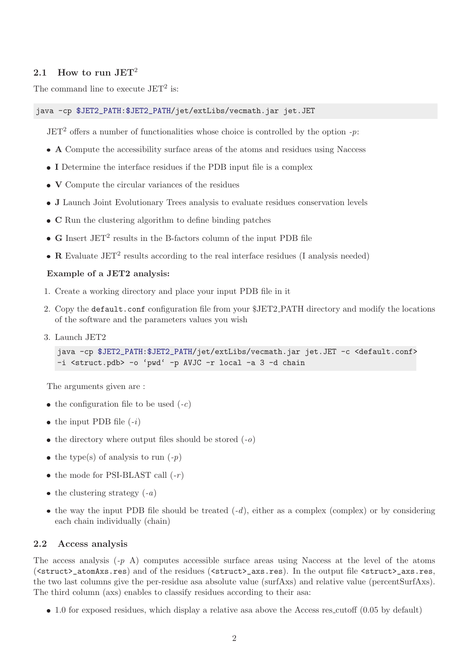#### 2.1 How to run  $JET^2$

The command line to execute  $JET^2$  is:

#### java -cp \$JET2\_PATH:\$JET2\_PATH/jet/extLibs/vecmath.jar jet.JET

 $JET<sup>2</sup>$  offers a number of functionalities whose choice is controlled by the option -p:

- A Compute the accessibility surface areas of the atoms and residues using Naccess
- I Determine the interface residues if the PDB input file is a complex
- V Compute the circular variances of the residues
- J Launch Joint Evolutionary Trees analysis to evaluate residues conservation levels
- C Run the clustering algorithm to define binding patches
- $\bullet$   $\, {\bf G}$  Insert JET $^2$  results in the B-factors column of the input PDB file
- R Evaluate JET<sup>2</sup> results according to the real interface residues (I analysis needed)

#### Example of a JET2 analysis:

- 1. Create a working directory and place your input PDB file in it
- 2. Copy the default.conf configuration file from your \$JET2 PATH directory and modify the locations of the software and the parameters values you wish
- 3. Launch JET2

```
java -cp $JET2_PATH:$JET2_PATH/jet/extLibs/vecmath.jar jet.JET -c <default.conf>
-i <struct.pdb> -o 'pwd' -p AVJC -r local -a 3 -d chain
```
The arguments given are :

- the configuration file to be used  $(-c)$
- the input PDB file  $(-i)$
- the directory where output files should be stored  $(-0)$
- the type(s) of analysis to run  $(-p)$
- the mode for PSI-BLAST call  $(-r)$
- the clustering strategy  $(-a)$
- $\bullet$  the way the input PDB file should be treated  $(-d)$ , either as a complex (complex) or by considering each chain individually (chain)

#### 2.2 Access analysis

The access analysis  $(-p \, A)$  computes accessible surface areas using Naccess at the level of the atoms (<struct>\_atomAxs.res) and of the residues (<struct>\_axs.res). In the output file <struct>\_axs.res, the two last columns give the per-residue asa absolute value (surfAxs) and relative value (percentSurfAxs). The third column (axs) enables to classify residues according to their asa:

• 1.0 for exposed residues, which display a relative asa above the Access res cutoff (0.05 by default)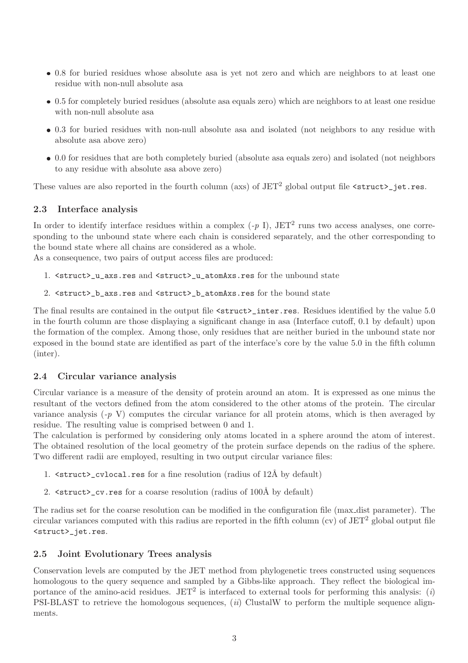- 0.8 for buried residues whose absolute asa is yet not zero and which are neighbors to at least one residue with non-null absolute asa
- 0.5 for completely buried residues (absolute asa equals zero) which are neighbors to at least one residue with non-null absolute asa
- 0.3 for buried residues with non-null absolute asa and isolated (not neighbors to any residue with absolute asa above zero)
- 0.0 for residues that are both completely buried (absolute asa equals zero) and isolated (not neighbors to any residue with absolute asa above zero)

These values are also reported in the fourth column (axs) of JET<sup>2</sup> global output file <struct>\_jet.res.

#### 2.3 Interface analysis

In order to identify interface residues within a complex  $(-p I)$ , JET<sup>2</sup> runs two access analyses, one corresponding to the unbound state where each chain is considered separately, and the other corresponding to the bound state where all chains are considered as a whole.

As a consequence, two pairs of output access files are produced:

- 1. <struct>\_u\_axs.res and <struct>\_u\_atomAxs.res for the unbound state
- 2. <struct>\_b\_axs.res and <struct>\_b\_atomAxs.res for the bound state

The final results are contained in the output file  $\text{quad} z$  inter.res. Residues identified by the value 5.0 in the fourth column are those displaying a significant change in asa (Interface cutoff, 0.1 by default) upon the formation of the complex. Among those, only residues that are neither buried in the unbound state nor exposed in the bound state are identified as part of the interface's core by the value 5.0 in the fifth column (inter).

#### 2.4 Circular variance analysis

Circular variance is a measure of the density of protein around an atom. It is expressed as one minus the resultant of the vectors defined from the atom considered to the other atoms of the protein. The circular variance analysis  $(-p V)$  computes the circular variance for all protein atoms, which is then averaged by residue. The resulting value is comprised between 0 and 1.

The calculation is performed by considering only atoms located in a sphere around the atom of interest. The obtained resolution of the local geometry of the protein surface depends on the radius of the sphere. Two different radii are employed, resulting in two output circular variance files:

- 1.  $\text{1.}$   $\text{1.}$   $\text{1.}$   $\text{1.}$   $\text{1.}$   $\text{1.}$   $\text{1.}$   $\text{1.}$   $\text{1.}$   $\text{1.}$   $\text{1.}$   $\text{1.}$   $\text{1.}$   $\text{1.}$   $\text{1.}$   $\text{1.}$   $\text{1.}$   $\text{1.}$   $\text{1.}$   $\text{1.}$   $\text{1.}$   $\text{1.}$   $\text{1.}$   $\text{1.}$   $\$
- 2.  $\text{100\AA}$  by default)

The radius set for the coarse resolution can be modified in the configuration file (max dist parameter). The circular variances computed with this radius are reported in the fifth column (cv) of  $JET^2$  global output file <struct>\_jet.res.

#### 2.5 Joint Evolutionary Trees analysis

Conservation levels are computed by the JET method from phylogenetic trees constructed using sequences homologous to the query sequence and sampled by a Gibbs-like approach. They reflect the biological importance of the amino-acid residues. JET<sup>2</sup> is interfaced to external tools for performing this analysis: (*i*) PSI-BLAST to retrieve the homologous sequences, (ii) ClustalW to perform the multiple sequence alignments.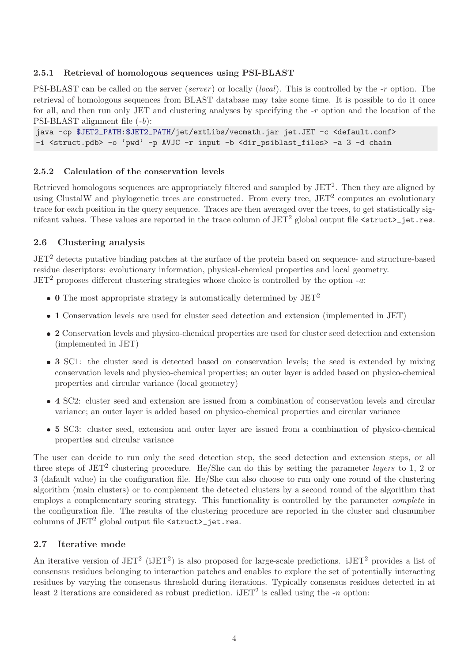### 2.5.1 Retrieval of homologous sequences using PSI-BLAST

PSI-BLAST can be called on the server (server ) or locally (local). This is controlled by the -r option. The retrieval of homologous sequences from BLAST database may take some time. It is possible to do it once for all, and then run only JET and clustering analyses by specifying the -r option and the location of the PSI-BLAST alignment file (-b):

```
java -cp $JET2_PATH:$JET2_PATH/jet/extLibs/vecmath.jar jet.JET -c <default.conf>
-i <struct.pdb> -o 'pwd' -p AVJC -r input -b <dir_psiblast_files> -a 3 -d chain
```
#### 2.5.2 Calculation of the conservation levels

Retrieved homologous sequences are appropriately filtered and sampled by JET<sup>2</sup>. Then they are aligned by using ClustalW and phylogenetic trees are constructed. From every tree, JET<sup>2</sup> computes an evolutionary trace for each position in the query sequence. Traces are then averaged over the trees, to get statistically signifcant values. These values are reported in the trace column of  $JET^2$  global output file  $\langle$ struct $\rangle$ \_jet.res.

### 2.6 Clustering analysis

JET<sup>2</sup> detects putative binding patches at the surface of the protein based on sequence- and structure-based residue descriptors: evolutionary information, physical-chemical properties and local geometry.  $JET<sup>2</sup>$  proposes different clustering strategies whose choice is controlled by the option -a:

- 0 The most appropriate strategy is automatically determined by  $JET^2$
- 1 Conservation levels are used for cluster seed detection and extension (implemented in JET)
- 2 Conservation levels and physico-chemical properties are used for cluster seed detection and extension (implemented in JET)
- 3 SC1: the cluster seed is detected based on conservation levels; the seed is extended by mixing conservation levels and physico-chemical properties; an outer layer is added based on physico-chemical properties and circular variance (local geometry)
- 4 SC2: cluster seed and extension are issued from a combination of conservation levels and circular variance; an outer layer is added based on physico-chemical properties and circular variance
- 5 SC3: cluster seed, extension and outer layer are issued from a combination of physico-chemical properties and circular variance

The user can decide to run only the seed detection step, the seed detection and extension steps, or all three steps of  $JET^2$  clustering procedure. He/She can do this by setting the parameter *layers* to 1, 2 or 3 (dafault value) in the configuration file. He/She can also choose to run only one round of the clustering algorithm (main clusters) or to complement the detected clusters by a second round of the algorithm that employs a complementary scoring strategy. This functionality is controlled by the parameter complete in the configuration file. The results of the clustering procedure are reported in the cluster and clusnumber columns of  $JET^2$  global output file  $\langle$ struct $\rangle$ <sub>jet.res.</sub>

### 2.7 Iterative mode

An iterative version of  $JET^2$  (i $JET^2$ ) is also proposed for large-scale predictions. i $JET^2$  provides a list of consensus residues belonging to interaction patches and enables to explore the set of potentially interacting residues by varying the consensus threshold during iterations. Typically consensus residues detected in at least 2 iterations are considered as robust prediction.  $iJET^2$  is called using the -n option: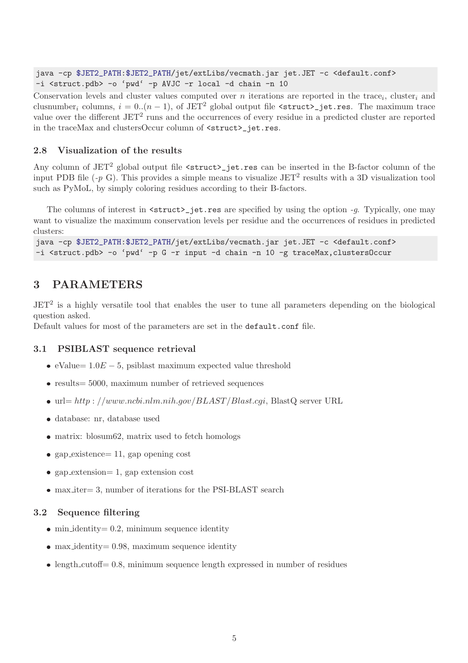java -cp \$JET2\_PATH:\$JET2\_PATH/jet/extLibs/vecmath.jar jet.JET -c <default.conf> -i <struct.pdb> -o 'pwd' -p AVJC -r local -d chain -n 10

Conservation levels and cluster values computed over *n* iterations are reported in the trace<sub>i</sub>, cluster<sub>i</sub> and clusnumber<sub>i</sub> columns,  $i = 0..(n - 1)$ , of JET<sup>2</sup> global output file <struct>jet.res. The maximum trace value over the different JET<sup>2</sup> runs and the occurrences of every residue in a predicted cluster are reported in the traceMax and clustersOccur column of  $\text{~-}$ struct $\text{~-}$ jet.res.

### 2.8 Visualization of the results

Any column of JET<sup>2</sup> global output file <struct>jet.res can be inserted in the B-factor column of the input PDB file  $(-p \ G)$ . This provides a simple means to visualize JET<sup>2</sup> results with a 3D visualization tool such as PyMoL, by simply coloring residues according to their B-factors.

The columns of interest in  $\text{~-}$  struct $\text{~-}$  jet.res are specified by using the option  $-g$ . Typically, one may want to visualize the maximum conservation levels per residue and the occurrences of residues in predicted clusters:

```
java -cp $JET2_PATH:$JET2_PATH/jet/extLibs/vecmath.jar jet.JET -c <default.conf>
-i <struct.pdb> -o 'pwd' -p G -r input -d chain -n 10 -g traceMax,clustersOccur
```
# 3 PARAMETERS

 $JET<sup>2</sup>$  is a highly versatile tool that enables the user to tune all parameters depending on the biological question asked.

Default values for most of the parameters are set in the default.conf file.

### 3.1 PSIBLAST sequence retrieval

- eValue=  $1.0E 5$ , psiblast maximum expected value threshold
- $\bullet$  results = 5000, maximum number of retrieved sequences
- $\bullet$  url= http : //www.ncbi.nlm.nih.gov/BLAST/Blast.cgi, BlastQ server URL
- database: nr, database used
- matrix: blosum62, matrix used to fetch homologs
- gap existence=  $11$ , gap opening cost
- gap extension= 1, gap extension cost
- max iter= 3, number of iterations for the PSI-BLAST search

#### 3.2 Sequence filtering

- $\bullet$  min identity = 0.2, minimum sequence identity
- max identity = 0.98, maximum sequence identity
- length cutoff= 0.8, minimum sequence length expressed in number of residues